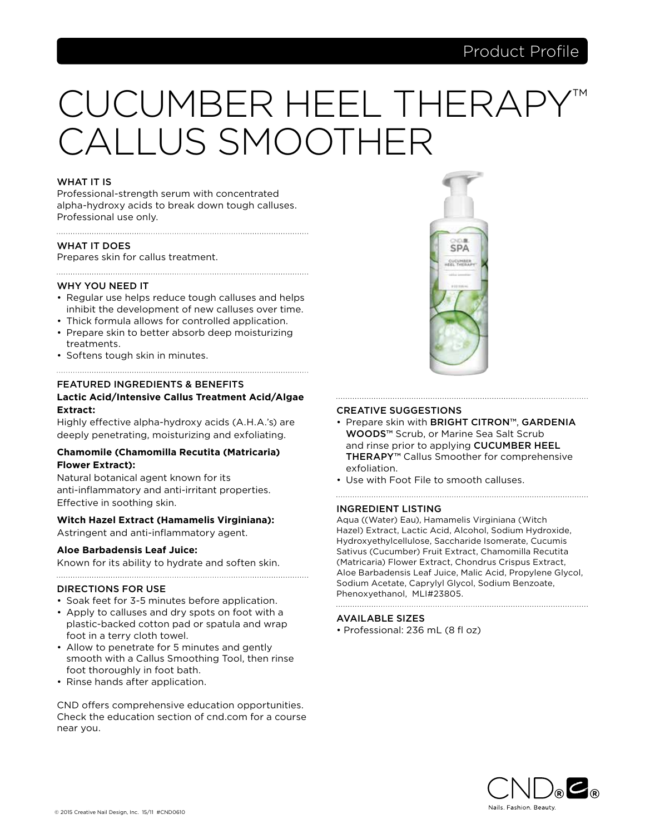# CUCUMBER HEEL THERA CALLUS SMOOTHER

# WHAT IT IS

Professional-strength serum with concentrated alpha-hydroxy acids to break down tough calluses. Professional use only.

# WHAT IT DOES

Prepares skin for callus treatment.

# WHY YOU NEED IT

• Regular use helps reduce tough calluses and helps inhibit the development of new calluses over time.

- Thick formula allows for controlled application.
- Prepare skin to better absorb deep moisturizing treatments.
- Softens tough skin in minutes.

# FEATURED INGREDIENTS & BENEFITS **Lactic Acid/Intensive Callus Treatment Acid/Algae Extract:**

Highly effective alpha-hydroxy acids (A.H.A.'s) are deeply penetrating, moisturizing and exfoliating.

# **Chamomile (Chamomilla Recutita (Matricaria) Flower Extract):**

Natural botanical agent known for its anti-inflammatory and anti-irritant properties. Effective in soothing skin.

# **Witch Hazel Extract (Hamamelis Virginiana):**

Astringent and anti-inflammatory agent.

# **Aloe Barbadensis Leaf Juice:**

Known for its ability to hydrate and soften skin.

# DIRECTIONS FOR USE

- Soak feet for 3-5 minutes before application.
- Apply to calluses and dry spots on foot with a plastic-backed cotton pad or spatula and wrap foot in a terry cloth towel.
- Allow to penetrate for 5 minutes and gently smooth with a Callus Smoothing Tool, then rinse foot thoroughly in foot bath.
- Rinse hands after application.

CND offers comprehensive education opportunities. Check the education section of cnd.com for a course near you.



# CREATIVE SUGGESTIONS

• Prepare skin with BRIGHT CITRON™, GARDENIA WOODS™ Scrub, or Marine Sea Salt Scrub and rinse prior to applying CUCUMBER HEEL THERAPY<sup>™</sup> Callus Smoother for comprehensive exfoliation.

• Use with Foot File to smooth calluses.

# INGREDIENT LISTING

Aqua ((Water) Eau), Hamamelis Virginiana (Witch Hazel) Extract, Lactic Acid, Alcohol, Sodium Hydroxide, Hydroxyethylcellulose, Saccharide Isomerate, Cucumis Sativus (Cucumber) Fruit Extract, Chamomilla Recutita (Matricaria) Flower Extract, Chondrus Crispus Extract, Aloe Barbadensis Leaf Juice, Malic Acid, Propylene Glycol, Sodium Acetate, Caprylyl Glycol, Sodium Benzoate, Phenoxyethanol, MLI#23805.

# AVAILABLE SIZES

• Professional: 236 mL (8 fl oz)

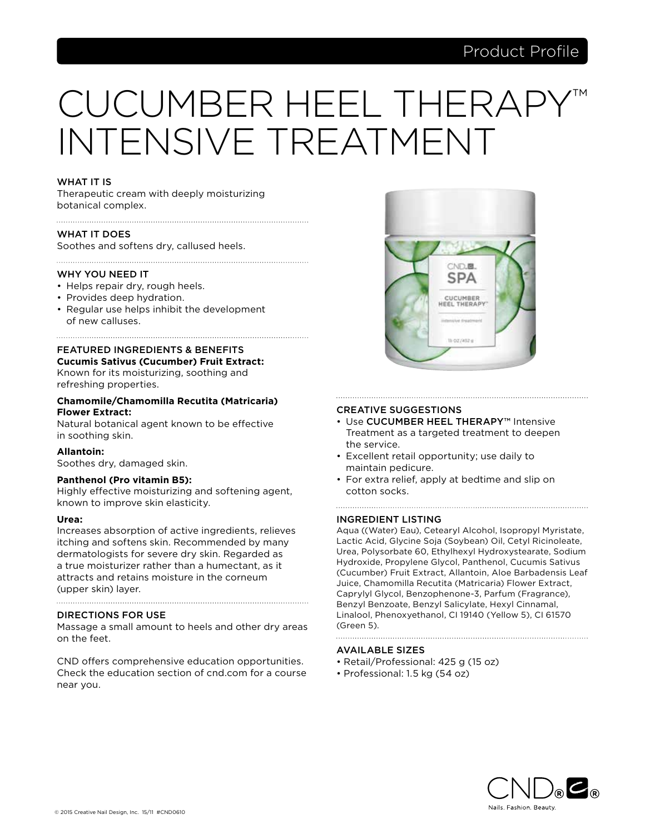# CUCUMBER HEEL THERAI INTENSIVE TREATMENT

# WHAT IT IS

Therapeutic cream with deeply moisturizing botanical complex.

# WHAT IT DOES

Soothes and softens dry, callused heels.

# WHY YOU NEED IT

- Helps repair dry, rough heels.
- Provides deep hydration.
- Regular use helps inhibit the development of new calluses.

# FEATURED INGREDIENTS & BENEFITS **Cucumis Sativus (Cucumber) Fruit Extract:**

Known for its moisturizing, soothing and refreshing properties.

# **Chamomile/Chamomilla Recutita (Matricaria) Flower Extract:**

Natural botanical agent known to be effective in soothing skin.

# **Allantoin:**

Soothes dry, damaged skin.

# **Panthenol (Pro vitamin B5):**

Highly effective moisturizing and softening agent, known to improve skin elasticity.

# **Urea:**

Increases absorption of active ingredients, relieves itching and softens skin. Recommended by many dermatologists for severe dry skin. Regarded as a true moisturizer rather than a humectant, as it attracts and retains moisture in the corneum (upper skin) layer.

# DIRECTIONS FOR USE

Massage a small amount to heels and other dry areas on the feet.

CND offers comprehensive education opportunities. Check the education section of cnd.com for a course near you.



# CREATIVE SUGGESTIONS

• Use CUCUMBER HEEL THERAPY™ Intensive Treatment as a targeted treatment to deepen the service.

- Excellent retail opportunity; use daily to maintain pedicure.
- For extra relief, apply at bedtime and slip on cotton socks.

# INGREDIENT LISTING

Aqua ((Water) Eau), Cetearyl Alcohol, Isopropyl Myristate, Lactic Acid, Glycine Soja (Soybean) Oil, Cetyl Ricinoleate, Urea, Polysorbate 60, Ethylhexyl Hydroxystearate, Sodium Hydroxide, Propylene Glycol, Panthenol, Cucumis Sativus (Cucumber) Fruit Extract, Allantoin, Aloe Barbadensis Leaf Juice, Chamomilla Recutita (Matricaria) Flower Extract, Caprylyl Glycol, Benzophenone-3, Parfum (Fragrance), Benzyl Benzoate, Benzyl Salicylate, Hexyl Cinnamal, Linalool, Phenoxyethanol, CI 19140 (Yellow 5), CI 61570 (Green 5).

- Retail/Professional: 425 g (15 oz)
- Professional: 1.5 kg (54 oz)

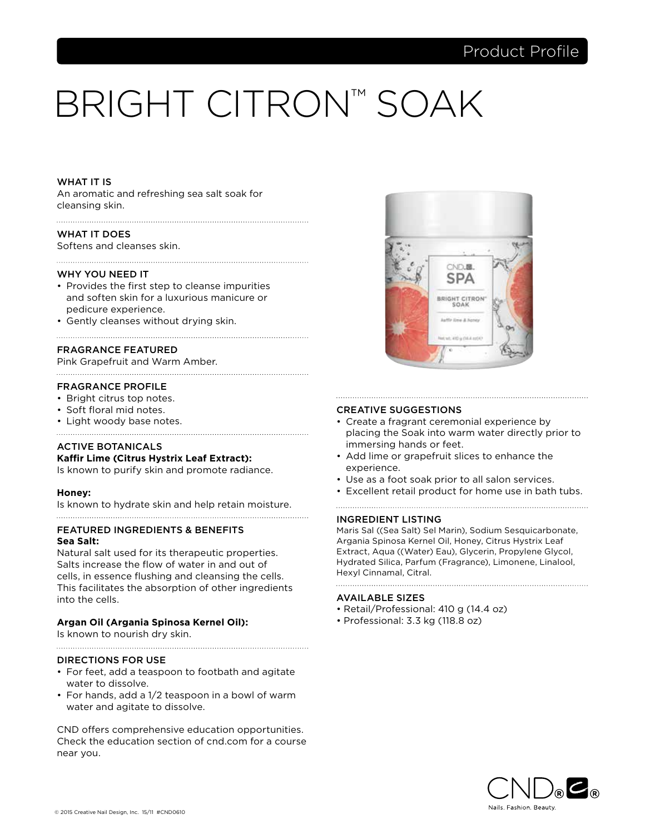# BRIGHT CITRON™ SOAK

# WHAT IT IS

An aromatic and refreshing sea salt soak for cleansing skin.

# WHAT IT DOES

Softens and cleanses skin.

### WHY YOU NEED IT

- Provides the first step to cleanse impurities and soften skin for a luxurious manicure or pedicure experience.
- Gently cleanses without drying skin.

# FRAGRANCE FEATURED

Pink Grapefruit and Warm Amber.

# FRAGRANCE PROFILE

- Bright citrus top notes.
- Soft floral mid notes.
- Light woody base notes.
- 

# ACTIVE BOTANICALS

# **Kaffir Lime (Citrus Hystrix Leaf Extract):**

Is known to purify skin and promote radiance.

# **Honey:**

Is known to hydrate skin and help retain moisture. 

# FEATURED INGREDIENTS & BENEFITS **Sea Salt:**

Natural salt used for its therapeutic properties. Salts increase the flow of water in and out of cells, in essence flushing and cleansing the cells. This facilitates the absorption of other ingredients into the cells.

# **Argan Oil (Argania Spinosa Kernel Oil):**

Is known to nourish dry skin.

# DIRECTIONS FOR USE

• For feet, add a teaspoon to footbath and agitate water to dissolve.

• For hands, add a 1/2 teaspoon in a bowl of warm water and agitate to dissolve.

CND offers comprehensive education opportunities. Check the education section of cnd.com for a course near you.



# CREATIVE SUGGESTIONS

• Create a fragrant ceremonial experience by placing the Soak into warm water directly prior to immersing hands or feet.

- Add lime or grapefruit slices to enhance the experience.
- Use as a foot soak prior to all salon services.
- Excellent retail product for home use in bath tubs.

# INGREDIENT LISTING

Maris Sal ((Sea Salt) Sel Marin), Sodium Sesquicarbonate, Argania Spinosa Kernel Oil, Honey, Citrus Hystrix Leaf Extract, Aqua ((Water) Eau), Glycerin, Propylene Glycol, Hydrated Silica, Parfum (Fragrance), Limonene, Linalool, Hexyl Cinnamal, Citral.

- Retail/Professional: 410 g (14.4 oz)
- Professional: 3.3 kg (118.8 oz)

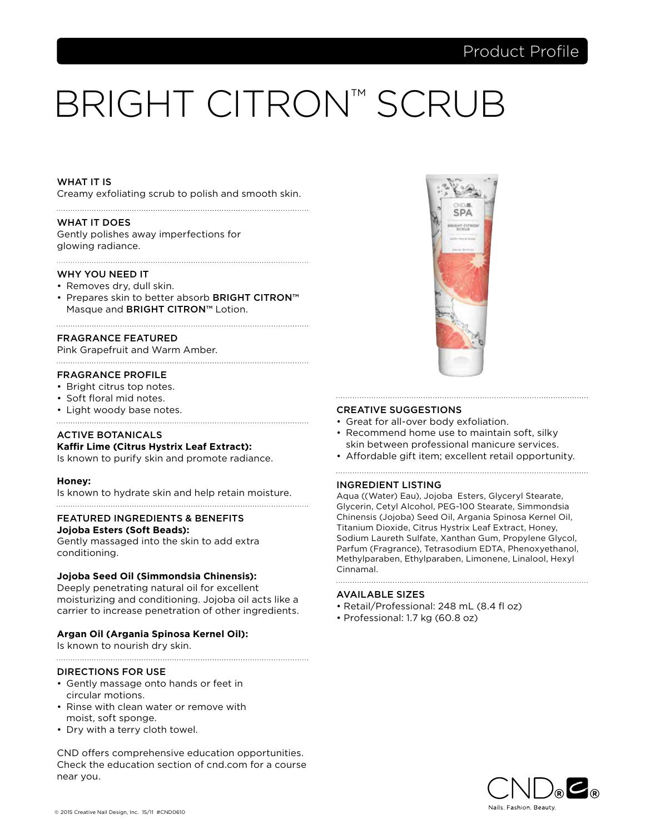# BRIGHT CITRON™ SCRUB

# WHAT IT IS

Creamy exfoliating scrub to polish and smooth skin. 

### WHAT IT DOES

Gently polishes away imperfections for glowing radiance.

#### WHY YOU NEED IT

- Removes dry, dull skin.
- Prepares skin to better absorb BRIGHT CITRON™ Masque and BRIGHT CITRON™ Lotion.

# FRAGRANCE FEATURED

Pink Grapefruit and Warm Amber.

# FRAGRANCE PROFILE

- Bright citrus top notes.
- Soft floral mid notes.
- Light woody base notes.

# ACTIVE BOTANICALS **Kaffir Lime (Citrus Hystrix Leaf Extract):**

Is known to purify skin and promote radiance.

# **Honey:**

Is known to hydrate skin and help retain moisture.

# FEATURED INGREDIENTS & BENEFITS

# **Jojoba Esters (Soft Beads):**

Gently massaged into the skin to add extra conditioning.

# **Jojoba Seed Oil (Simmondsia Chinensis):**

Deeply penetrating natural oil for excellent moisturizing and conditioning. Jojoba oil acts like a carrier to increase penetration of other ingredients.

# **Argan Oil (Argania Spinosa Kernel Oil):**

Is known to nourish dry skin.

# DIRECTIONS FOR USE

- Gently massage onto hands or feet in circular motions.
- Rinse with clean water or remove with moist, soft sponge.
- Dry with a terry cloth towel.

CND offers comprehensive education opportunities. Check the education section of cnd.com for a course near you.



# CREATIVE SUGGESTIONS

- Great for all-over body exfoliation.
- Recommend home use to maintain soft, silky skin between professional manicure services.
- Affordable gift item; excellent retail opportunity.

# INGREDIENT LISTING

Aqua ((Water) Eau), Jojoba Esters, Glyceryl Stearate, Glycerin, Cetyl Alcohol, PEG-100 Stearate, Simmondsia Chinensis (Jojoba) Seed Oil, Argania Spinosa Kernel Oil, Titanium Dioxide, Citrus Hystrix Leaf Extract, Honey, Sodium Laureth Sulfate, Xanthan Gum, Propylene Glycol, Parfum (Fragrance), Tetrasodium EDTA, Phenoxyethanol, Methylparaben, Ethylparaben, Limonene, Linalool, Hexyl Cinnamal.

- Retail/Professional: 248 mL (8.4 fl oz)
- Professional: 1.7 kg (60.8 oz)

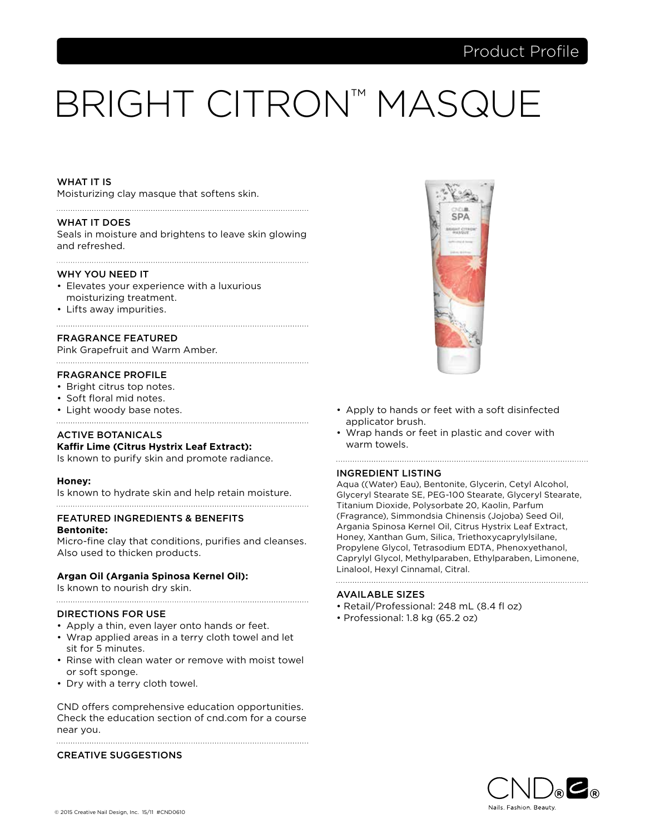# BRIGHT CITRON™ MASQUE

# WHAT IT IS

Moisturizing clay masque that softens skin.

#### WHAT IT DOES

Seals in moisture and brightens to leave skin glowing and refreshed.

#### WHY YOU NEED IT

- Elevates your experience with a luxurious moisturizing treatment.
- Lifts away impurities.

# FRAGRANCE FEATURED

Pink Grapefruit and Warm Amber.

#### FRAGRANCE PROFILE

- Bright citrus top notes.
- Soft floral mid notes.
- Light woody base notes.

# ACTIVE BOTANICALS **Kaffir Lime (Citrus Hystrix Leaf Extract):**

Is known to purify skin and promote radiance.

# **Honey:**

Is known to hydrate skin and help retain moisture.

# FEATURED INGREDIENTS & BENEFITS

#### **Bentonite:**

Micro-fine clay that conditions, purifies and cleanses. Also used to thicken products.

# **Argan Oil (Argania Spinosa Kernel Oil):**

Is known to nourish dry skin.

# DIRECTIONS FOR USE

- Apply a thin, even layer onto hands or feet.
- Wrap applied areas in a terry cloth towel and let sit for 5 minutes.
- Rinse with clean water or remove with moist towel or soft sponge.
- Dry with a terry cloth towel.

CND offers comprehensive education opportunities. Check the education section of cnd.com for a course near you.

# CREATIVE SUGGESTIONS



- Apply to hands or feet with a soft disinfected applicator brush.
- Wrap hands or feet in plastic and cover with warm towels.

#### INGREDIENT LISTING

Aqua ((Water) Eau), Bentonite, Glycerin, Cetyl Alcohol, Glyceryl Stearate SE, PEG-100 Stearate, Glyceryl Stearate, Titanium Dioxide, Polysorbate 20, Kaolin, Parfum (Fragrance), Simmondsia Chinensis (Jojoba) Seed Oil, Argania Spinosa Kernel Oil, Citrus Hystrix Leaf Extract, Honey, Xanthan Gum, Silica, Triethoxycaprylylsilane, Propylene Glycol, Tetrasodium EDTA, Phenoxyethanol, Caprylyl Glycol, Methylparaben, Ethylparaben, Limonene, Linalool, Hexyl Cinnamal, Citral.

- Retail/Professional: 248 mL (8.4 fl oz)
- Professional: 1.8 kg (65.2 oz)

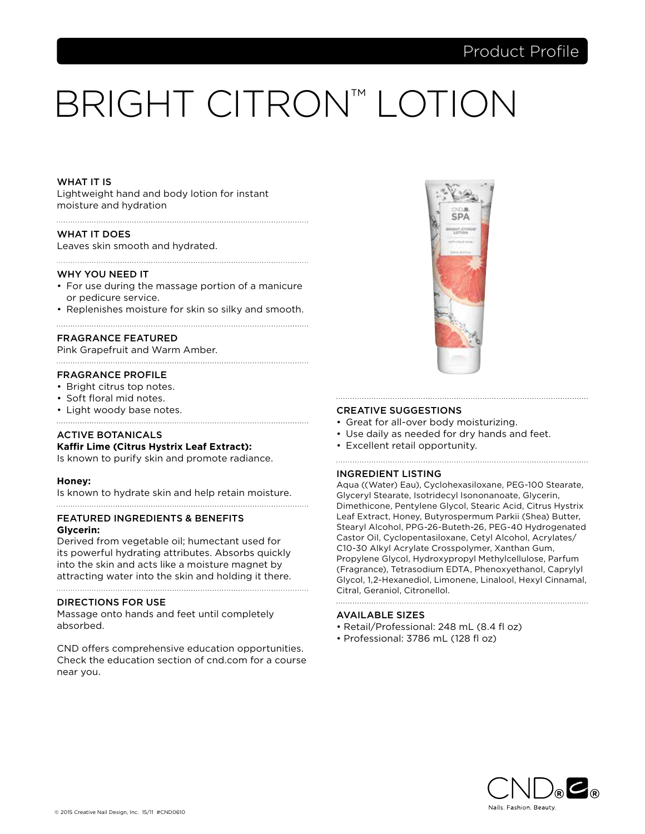# BRIGHT CITRON™ LOTION

# WHAT IT IS

Lightweight hand and body lotion for instant moisture and hydration

# WHAT IT DOES

Leaves skin smooth and hydrated.

#### WHY YOU NEED IT

• For use during the massage portion of a manicure or pedicure service.

• Replenishes moisture for skin so silky and smooth. 

# FRAGRANCE FEATURED

Pink Grapefruit and Warm Amber.

#### FRAGRANCE PROFILE

- Bright citrus top notes.
- Soft floral mid notes.
- Light woody base notes.

# ACTIVE BOTANICALS **Kaffir Lime (Citrus Hystrix Leaf Extract):**

Is known to purify skin and promote radiance.

# **Honey:**

Is known to hydrate skin and help retain moisture.

# FEATURED INGREDIENTS & BENEFITS

# **Glycerin:**

Derived from vegetable oil; humectant used for its powerful hydrating attributes. Absorbs quickly into the skin and acts like a moisture magnet by attracting water into the skin and holding it there.

# DIRECTIONS FOR USE

Massage onto hands and feet until completely absorbed.

CND offers comprehensive education opportunities. Check the education section of cnd.com for a course near you.



#### CREATIVE SUGGESTIONS

- Great for all-over body moisturizing.
- Use daily as needed for dry hands and feet.

• Excellent retail opportunity.

#### INGREDIENT LISTING

Aqua ((Water) Eau), Cyclohexasiloxane, PEG-100 Stearate, Glyceryl Stearate, Isotridecyl Isononanoate, Glycerin, Dimethicone, Pentylene Glycol, Stearic Acid, Citrus Hystrix Leaf Extract, Honey, Butyrospermum Parkii (Shea) Butter, Stearyl Alcohol, PPG-26-Buteth-26, PEG-40 Hydrogenated Castor Oil, Cyclopentasiloxane, Cetyl Alcohol, Acrylates/ C10-30 Alkyl Acrylate Crosspolymer, Xanthan Gum, Propylene Glycol, Hydroxypropyl Methylcellulose, Parfum (Fragrance), Tetrasodium EDTA, Phenoxyethanol, Caprylyl Glycol, 1,2-Hexanediol, Limonene, Linalool, Hexyl Cinnamal, Citral, Geraniol, Citronellol.

- Retail/Professional: 248 mL (8.4 fl oz)
- Professional: 3786 mL (128 fl oz)

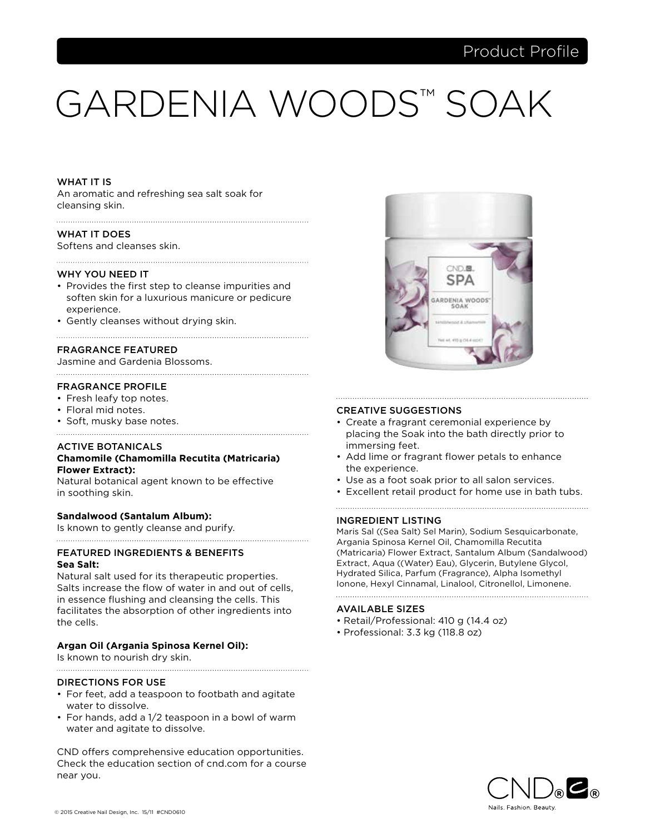# GARDENIA WOODS™ SOAK

# WHAT IT IS

An aromatic and refreshing sea salt soak for cleansing skin.

# WHAT IT DOES

Softens and cleanses skin.

#### WHY YOU NEED IT

• Provides the first step to cleanse impurities and soften skin for a luxurious manicure or pedicure experience.

• Gently cleanses without drying skin.

# FRAGRANCE FEATURED

Jasmine and Gardenia Blossoms.

# FRAGRANCE PROFILE

- Fresh leafy top notes.
- Floral mid notes.
- Soft, musky base notes.

# ACTIVE BOTANICALS

# **Chamomile (Chamomilla Recutita (Matricaria) Flower Extract):**

Natural botanical agent known to be effective in soothing skin.

# **Sandalwood (Santalum Album):**

Is known to gently cleanse and purify.

# FEATURED INGREDIENTS & BENEFITS **Sea Salt:**

Natural salt used for its therapeutic properties. Salts increase the flow of water in and out of cells, in essence flushing and cleansing the cells. This facilitates the absorption of other ingredients into the cells.

# **Argan Oil (Argania Spinosa Kernel Oil):**

Is known to nourish dry skin.

# DIRECTIONS FOR USE

• For feet, add a teaspoon to footbath and agitate water to dissolve.

• For hands, add a 1/2 teaspoon in a bowl of warm water and agitate to dissolve.

CND offers comprehensive education opportunities. Check the education section of cnd.com for a course near you.



#### CREATIVE SUGGESTIONS

• Create a fragrant ceremonial experience by placing the Soak into the bath directly prior to immersing feet.

- Add lime or fragrant flower petals to enhance the experience.
- Use as a foot soak prior to all salon services.
- Excellent retail product for home use in bath tubs.

# INGREDIENT LISTING

Maris Sal ((Sea Salt) Sel Marin), Sodium Sesquicarbonate, Argania Spinosa Kernel Oil, Chamomilla Recutita (Matricaria) Flower Extract, Santalum Album (Sandalwood) Extract, Aqua ((Water) Eau), Glycerin, Butylene Glycol, Hydrated Silica, Parfum (Fragrance), Alpha Isomethyl Ionone, Hexyl Cinnamal, Linalool, Citronellol, Limonene. 

- Retail/Professional: 410 g (14.4 oz)
- Professional: 3.3 kg (118.8 oz)

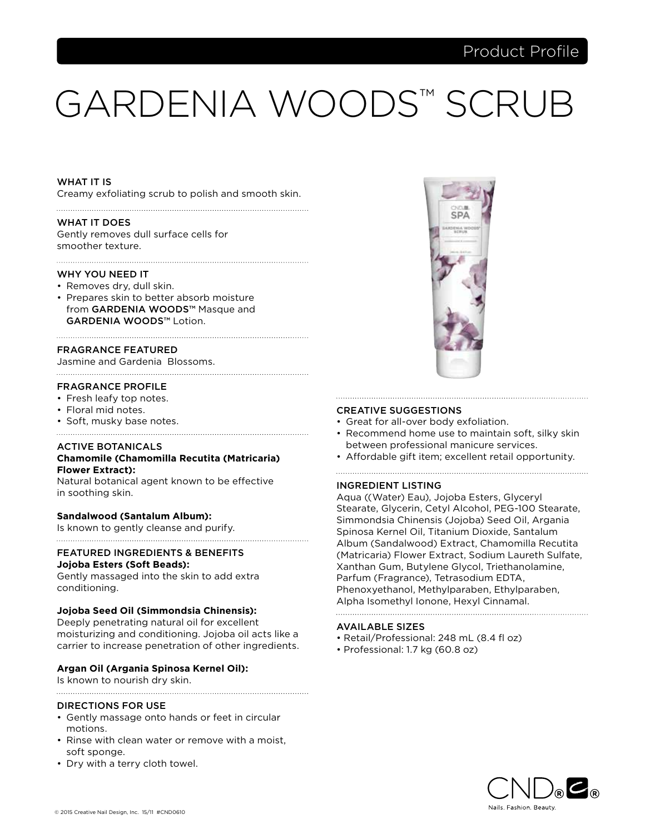# GARDENIA WOODS™ SCRUB

# WHAT IT IS

Creamy exfoliating scrub to polish and smooth skin. 

### WHAT IT DOES

Gently removes dull surface cells for smoother texture.

### WHY YOU NEED IT

- Removes dry, dull skin.
- Prepares skin to better absorb moisture from GARDENIA WOODS™ Masque and GARDENIA WOODS™ Lotion.

# FRAGRANCE FEATURED

Jasmine and Gardenia Blossoms.

# FRAGRANCE PROFILE

- Fresh leafy top notes.
- Floral mid notes.
- Soft, musky base notes.

# ACTIVE BOTANICALS

# **Chamomile (Chamomilla Recutita (Matricaria) Flower Extract):**

Natural botanical agent known to be effective in soothing skin.

# **Sandalwood (Santalum Album):**

Is known to gently cleanse and purify.

# FEATURED INGREDIENTS & BENEFITS

# **Jojoba Esters (Soft Beads):**

Gently massaged into the skin to add extra conditioning.

# **Jojoba Seed Oil (Simmondsia Chinensis):**

Deeply penetrating natural oil for excellent moisturizing and conditioning. Jojoba oil acts like a carrier to increase penetration of other ingredients.

# **Argan Oil (Argania Spinosa Kernel Oil):**

Is known to nourish dry skin.

# 

# DIRECTIONS FOR USE

- Gently massage onto hands or feet in circular motions.
- Rinse with clean water or remove with a moist, soft sponge.
- Dry with a terry cloth towel.



# CREATIVE SUGGESTIONS

- Great for all-over body exfoliation.
- Recommend home use to maintain soft, silky skin between professional manicure services.

• Affordable gift item; excellent retail opportunity.

# INGREDIENT LISTING

Aqua ((Water) Eau), Jojoba Esters, Glyceryl Stearate, Glycerin, Cetyl Alcohol, PEG-100 Stearate, Simmondsia Chinensis (Jojoba) Seed Oil, Argania Spinosa Kernel Oil, Titanium Dioxide, Santalum Album (Sandalwood) Extract, Chamomilla Recutita (Matricaria) Flower Extract, Sodium Laureth Sulfate, Xanthan Gum, Butylene Glycol, Triethanolamine, Parfum (Fragrance), Tetrasodium EDTA, Phenoxyethanol, Methylparaben, Ethylparaben, Alpha Isomethyl Ionone, Hexyl Cinnamal.

- Retail/Professional: 248 mL (8.4 fl oz)
- Professional: 1.7 kg (60.8 oz)

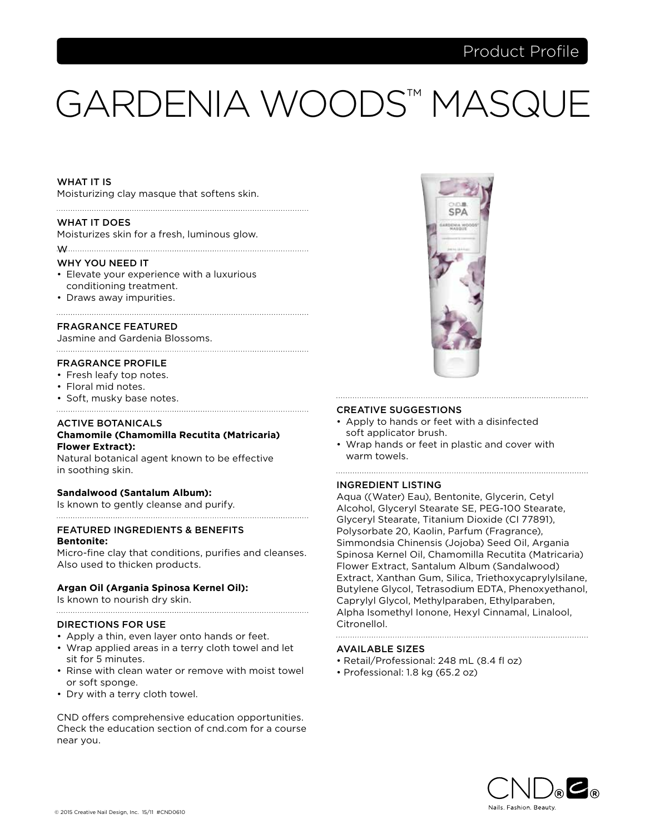# GARDENIA WOODS™ MASQU

# WHAT IT IS

Moisturizing clay masque that softens skin.

# WHAT IT DOES

Moisturizes skin for a fresh, luminous glow.

w

#### WHY YOU NEED IT

- Elevate your experience with a luxurious conditioning treatment.
- Draws away impurities.

# FRAGRANCE FEATURED

Jasmine and Gardenia Blossoms. 

# FRAGRANCE PROFILE

- Fresh leafy top notes.
- Floral mid notes.
- Soft, musky base notes.

# ACTIVE BOTANICALS **Chamomile (Chamomilla Recutita (Matricaria) Flower Extract):**

Natural botanical agent known to be effective in soothing skin.

# **Sandalwood (Santalum Album):**

Is known to gently cleanse and purify.

# FEATURED INGREDIENTS & BENEFITS **Bentonite:**

Micro-fine clay that conditions, purifies and cleanses. Also used to thicken products.

# **Argan Oil (Argania Spinosa Kernel Oil):**

Is known to nourish dry skin.

# DIRECTIONS FOR USE

- Apply a thin, even layer onto hands or feet.
- Wrap applied areas in a terry cloth towel and let sit for 5 minutes.
- Rinse with clean water or remove with moist towel or soft sponge.
- Dry with a terry cloth towel.

CND offers comprehensive education opportunities. Check the education section of cnd.com for a course near you.



# CREATIVE SUGGESTIONS

- Apply to hands or feet with a disinfected soft applicator brush.
- Wrap hands or feet in plastic and cover with warm towels.

# INGREDIENT LISTING

Aqua ((Water) Eau), Bentonite, Glycerin, Cetyl Alcohol, Glyceryl Stearate SE, PEG-100 Stearate, Glyceryl Stearate, Titanium Dioxide (CI 77891), Polysorbate 20, Kaolin, Parfum (Fragrance), Simmondsia Chinensis (Jojoba) Seed Oil, Argania Spinosa Kernel Oil, Chamomilla Recutita (Matricaria) Flower Extract, Santalum Album (Sandalwood) Extract, Xanthan Gum, Silica, Triethoxycaprylylsilane, Butylene Glycol, Tetrasodium EDTA, Phenoxyethanol, Caprylyl Glycol, Methylparaben, Ethylparaben, Alpha Isomethyl Ionone, Hexyl Cinnamal, Linalool, Citronellol.

- Retail/Professional: 248 mL (8.4 fl oz)
- Professional: 1.8 kg (65.2 oz)